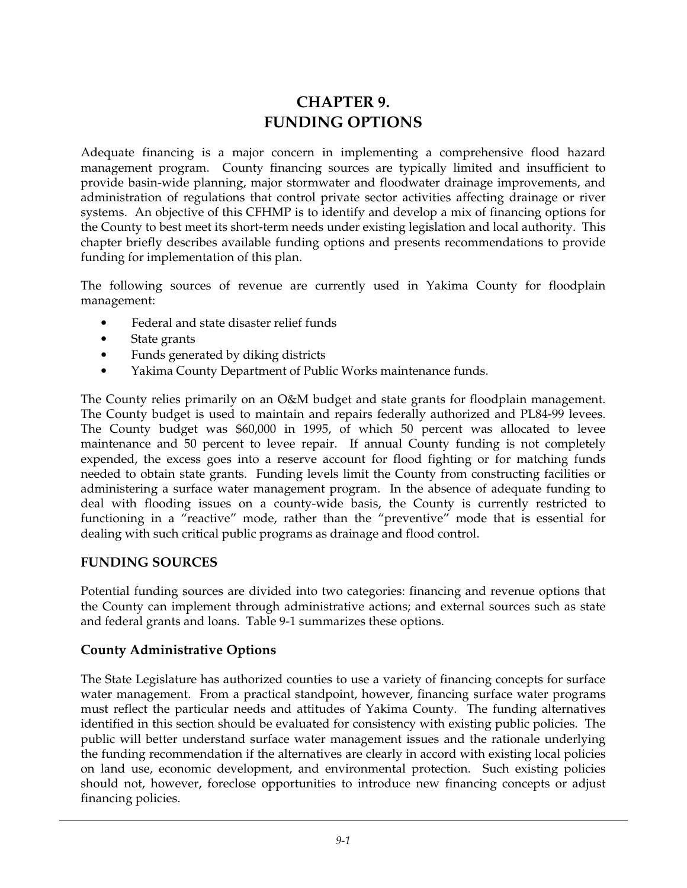## **CHAPTER 9. FUNDING OPTIONS**

Adequate financing is a major concern in implementing a comprehensive flood hazard management program. County financing sources are typically limited and insufficient to provide basin-wide planning, major stormwater and floodwater drainage improvements, and administration of regulations that control private sector activities affecting drainage or river systems. An objective of this CFHMP is to identify and develop a mix of financing options for the County to best meet its short-term needs under existing legislation and local authority. This chapter briefly describes available funding options and presents recommendations to provide funding for implementation of this plan.

The following sources of revenue are currently used in Yakima County for floodplain management:

- Federal and state disaster relief funds
- State grants
- Funds generated by diking districts
- Yakima County Department of Public Works maintenance funds.

The County relies primarily on an O&M budget and state grants for floodplain management. The County budget is used to maintain and repairs federally authorized and PL84-99 levees. The County budget was \$60,000 in 1995, of which 50 percent was allocated to levee maintenance and 50 percent to levee repair. If annual County funding is not completely expended, the excess goes into a reserve account for flood fighting or for matching funds needed to obtain state grants. Funding levels limit the County from constructing facilities or administering a surface water management program. In the absence of adequate funding to deal with flooding issues on a county-wide basis, the County is currently restricted to functioning in a "reactive" mode, rather than the "preventive" mode that is essential for dealing with such critical public programs as drainage and flood control.

## **FUNDING SOURCES**

Potential funding sources are divided into two categories: financing and revenue options that the County can implement through administrative actions; and external sources such as state and federal grants and loans. Table 9-1 summarizes these options.

## **County Administrative Options**

The State Legislature has authorized counties to use a variety of financing concepts for surface water management. From a practical standpoint, however, financing surface water programs must reflect the particular needs and attitudes of Yakima County. The funding alternatives identified in this section should be evaluated for consistency with existing public policies. The public will better understand surface water management issues and the rationale underlying the funding recommendation if the alternatives are clearly in accord with existing local policies on land use, economic development, and environmental protection. Such existing policies should not, however, foreclose opportunities to introduce new financing concepts or adjust financing policies.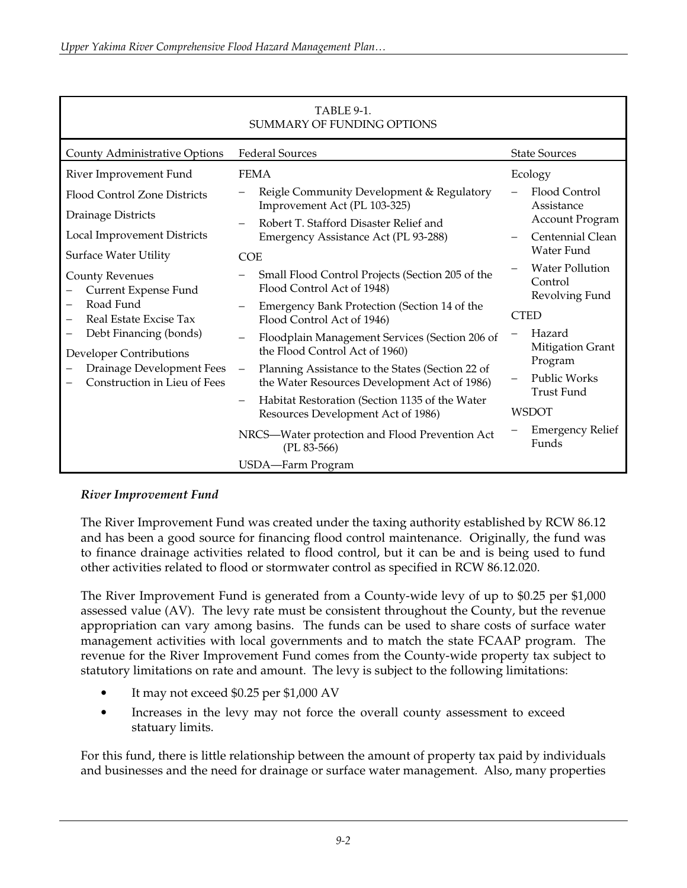| TABLE 9-1.<br>SUMMARY OF FUNDING OPTIONS                                                                                                                                                                |                                                                                                                              |                                                     |  |  |  |  |  |  |
|---------------------------------------------------------------------------------------------------------------------------------------------------------------------------------------------------------|------------------------------------------------------------------------------------------------------------------------------|-----------------------------------------------------|--|--|--|--|--|--|
| County Administrative Options                                                                                                                                                                           | <b>Federal Sources</b>                                                                                                       | <b>State Sources</b>                                |  |  |  |  |  |  |
| River Improvement Fund                                                                                                                                                                                  | <b>FEMA</b>                                                                                                                  | Ecology                                             |  |  |  |  |  |  |
| Flood Control Zone Districts                                                                                                                                                                            | Reigle Community Development & Regulatory<br>Improvement Act (PL 103-325)                                                    | Flood Control<br>Assistance                         |  |  |  |  |  |  |
| Drainage Districts<br>Local Improvement Districts                                                                                                                                                       | Robert T. Stafford Disaster Relief and<br>Emergency Assistance Act (PL 93-288)                                               | <b>Account Program</b><br>Centennial Clean          |  |  |  |  |  |  |
| <b>Surface Water Utility</b>                                                                                                                                                                            | <b>COE</b>                                                                                                                   | Water Fund                                          |  |  |  |  |  |  |
| <b>County Revenues</b><br>Current Expense Fund<br>Road Fund<br>Real Estate Excise Tax<br>Debt Financing (bonds)<br>Developer Contributions<br>Drainage Development Fees<br>Construction in Lieu of Fees | Small Flood Control Projects (Section 205 of the<br>Flood Control Act of 1948)                                               | <b>Water Pollution</b><br>Control<br>Revolving Fund |  |  |  |  |  |  |
|                                                                                                                                                                                                         | Emergency Bank Protection (Section 14 of the<br>Flood Control Act of 1946)                                                   | <b>CTED</b>                                         |  |  |  |  |  |  |
|                                                                                                                                                                                                         | Floodplain Management Services (Section 206 of<br>the Flood Control Act of 1960)                                             | Hazard<br>Mitigation Grant                          |  |  |  |  |  |  |
|                                                                                                                                                                                                         | Planning Assistance to the States (Section 22 of<br>$\overline{\phantom{m}}$<br>the Water Resources Development Act of 1986) | Program<br>Public Works<br><b>Trust Fund</b>        |  |  |  |  |  |  |
|                                                                                                                                                                                                         | Habitat Restoration (Section 1135 of the Water<br>$\qquad \qquad -$<br>Resources Development Act of 1986)                    | <b>WSDOT</b>                                        |  |  |  |  |  |  |
|                                                                                                                                                                                                         | NRCS-Water protection and Flood Prevention Act<br>$(PL 83-566)$                                                              | <b>Emergency Relief</b><br>Funds                    |  |  |  |  |  |  |
|                                                                                                                                                                                                         | USDA-Farm Program                                                                                                            |                                                     |  |  |  |  |  |  |

# TABLE 9-1.

## *River Improvement Fund*

The River Improvement Fund was created under the taxing authority established by RCW 86.12 and has been a good source for financing flood control maintenance. Originally, the fund was to finance drainage activities related to flood control, but it can be and is being used to fund other activities related to flood or stormwater control as specified in RCW 86.12.020.

The River Improvement Fund is generated from a County-wide levy of up to \$0.25 per \$1,000 assessed value (AV). The levy rate must be consistent throughout the County, but the revenue appropriation can vary among basins. The funds can be used to share costs of surface water management activities with local governments and to match the state FCAAP program. The revenue for the River Improvement Fund comes from the County-wide property tax subject to statutory limitations on rate and amount. The levy is subject to the following limitations:

- It may not exceed \$0.25 per \$1,000 AV
- Increases in the levy may not force the overall county assessment to exceed statuary limits.

For this fund, there is little relationship between the amount of property tax paid by individuals and businesses and the need for drainage or surface water management. Also, many properties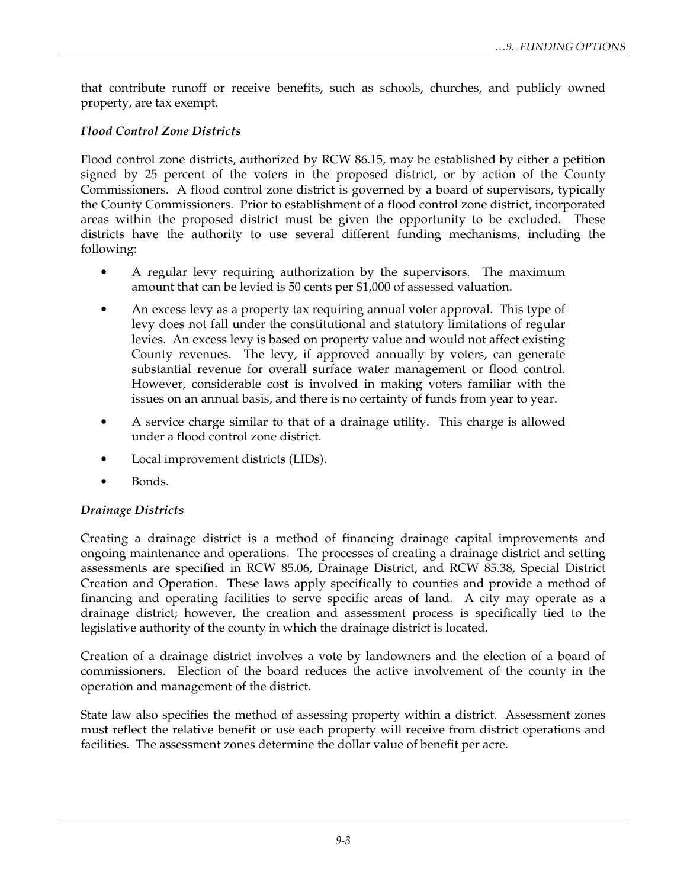that contribute runoff or receive benefits, such as schools, churches, and publicly owned property, are tax exempt.

#### *Flood Control Zone Districts*

Flood control zone districts, authorized by RCW 86.15, may be established by either a petition signed by 25 percent of the voters in the proposed district, or by action of the County Commissioners. A flood control zone district is governed by a board of supervisors, typically the County Commissioners. Prior to establishment of a flood control zone district, incorporated areas within the proposed district must be given the opportunity to be excluded. These districts have the authority to use several different funding mechanisms, including the following:

- A regular levy requiring authorization by the supervisors. The maximum amount that can be levied is 50 cents per \$1,000 of assessed valuation.
- An excess levy as a property tax requiring annual voter approval. This type of levy does not fall under the constitutional and statutory limitations of regular levies. An excess levy is based on property value and would not affect existing County revenues. The levy, if approved annually by voters, can generate substantial revenue for overall surface water management or flood control. However, considerable cost is involved in making voters familiar with the issues on an annual basis, and there is no certainty of funds from year to year.
- A service charge similar to that of a drainage utility. This charge is allowed under a flood control zone district.
- Local improvement districts (LIDs).
- Bonds.

#### *Drainage Districts*

Creating a drainage district is a method of financing drainage capital improvements and ongoing maintenance and operations. The processes of creating a drainage district and setting assessments are specified in RCW 85.06, Drainage District, and RCW 85.38, Special District Creation and Operation. These laws apply specifically to counties and provide a method of financing and operating facilities to serve specific areas of land. A city may operate as a drainage district; however, the creation and assessment process is specifically tied to the legislative authority of the county in which the drainage district is located.

Creation of a drainage district involves a vote by landowners and the election of a board of commissioners. Election of the board reduces the active involvement of the county in the operation and management of the district.

State law also specifies the method of assessing property within a district. Assessment zones must reflect the relative benefit or use each property will receive from district operations and facilities. The assessment zones determine the dollar value of benefit per acre.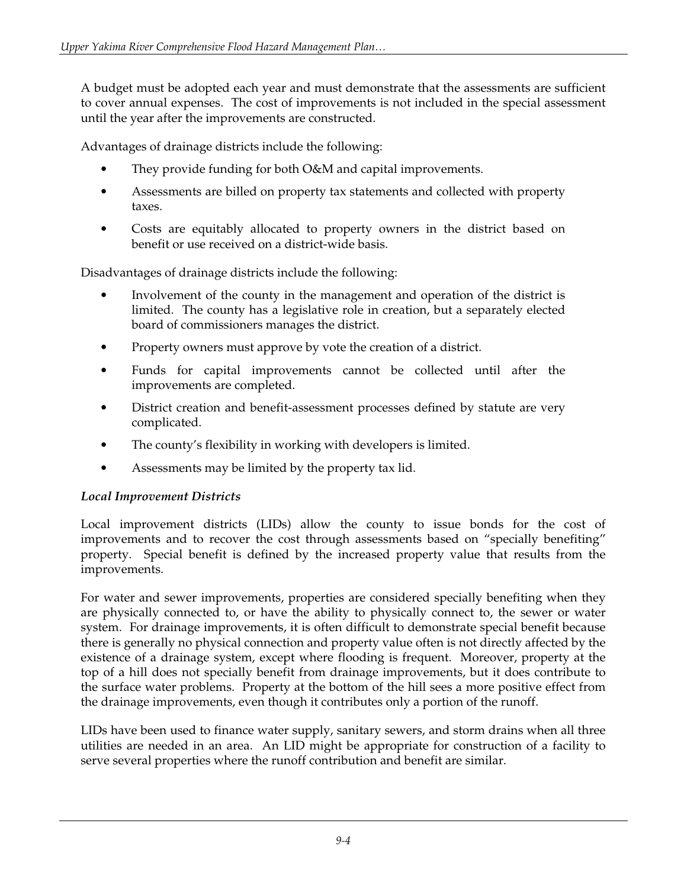A budget must be adopted each year and must demonstrate that the assessments are sufficient to cover annual expenses. The cost of improvements is not included in the special assessment until the year after the improvements are constructed.

Advantages of drainage districts include the following:

- They provide funding for both O&M and capital improvements.
- Assessments are billed on property tax statements and collected with property taxes.
- Costs are equitably allocated to property owners in the district based on benefit or use received on a district-wide basis.

Disadvantages of drainage districts include the following:

- Involvement of the county in the management and operation of the district is limited. The county has a legislative role in creation, but a separately elected board of commissioners manages the district.
- Property owners must approve by vote the creation of a district.
- Funds for capital improvements cannot be collected until after the improvements are completed.
- District creation and benefit-assessment processes defined by statute are very complicated.
- The county's flexibility in working with developers is limited.
- Assessments may be limited by the property tax lid.

## *Local Improvement Districts*

Local improvement districts (LIDs) allow the county to issue bonds for the cost of improvements and to recover the cost through assessments based on "specially benefiting" property. Special benefit is defined by the increased property value that results from the improvements.

For water and sewer improvements, properties are considered specially benefiting when they are physically connected to, or have the ability to physically connect to, the sewer or water system. For drainage improvements, it is often difficult to demonstrate special benefit because there is generally no physical connection and property value often is not directly affected by the existence of a drainage system, except where flooding is frequent. Moreover, property at the top of a hill does not specially benefit from drainage improvements, but it does contribute to the surface water problems. Property at the bottom of the hill sees a more positive effect from the drainage improvements, even though it contributes only a portion of the runoff.

LIDs have been used to finance water supply, sanitary sewers, and storm drains when all three utilities are needed in an area. An LID might be appropriate for construction of a facility to serve several properties where the runoff contribution and benefit are similar.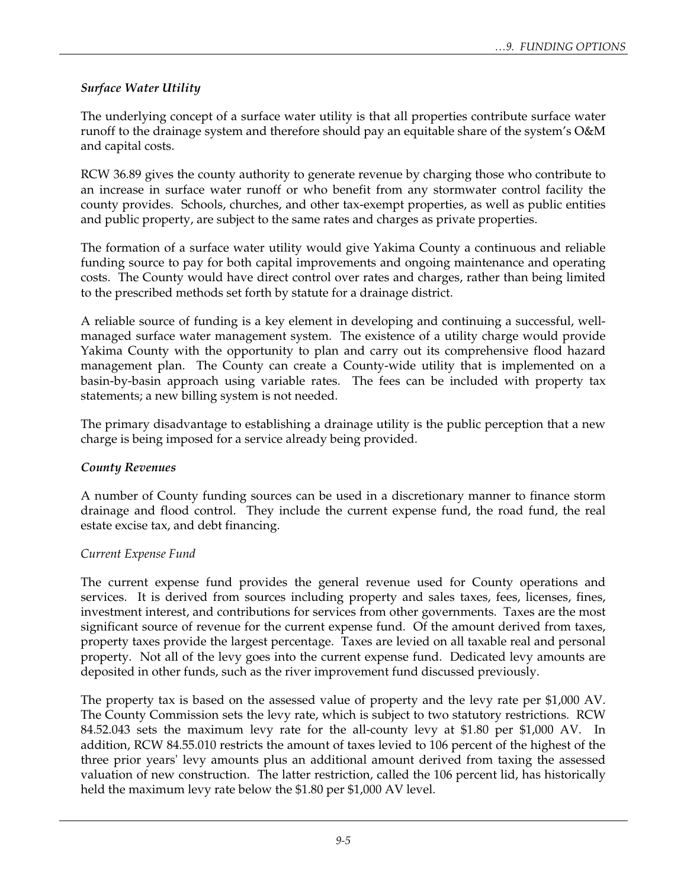## *Surface Water Utility*

The underlying concept of a surface water utility is that all properties contribute surface water runoff to the drainage system and therefore should pay an equitable share of the system's O&M and capital costs.

RCW 36.89 gives the county authority to generate revenue by charging those who contribute to an increase in surface water runoff or who benefit from any stormwater control facility the county provides. Schools, churches, and other tax-exempt properties, as well as public entities and public property, are subject to the same rates and charges as private properties.

The formation of a surface water utility would give Yakima County a continuous and reliable funding source to pay for both capital improvements and ongoing maintenance and operating costs. The County would have direct control over rates and charges, rather than being limited to the prescribed methods set forth by statute for a drainage district.

A reliable source of funding is a key element in developing and continuing a successful, wellmanaged surface water management system. The existence of a utility charge would provide Yakima County with the opportunity to plan and carry out its comprehensive flood hazard management plan. The County can create a County-wide utility that is implemented on a basin-by-basin approach using variable rates. The fees can be included with property tax statements; a new billing system is not needed.

The primary disadvantage to establishing a drainage utility is the public perception that a new charge is being imposed for a service already being provided.

## *County Revenues*

A number of County funding sources can be used in a discretionary manner to finance storm drainage and flood control. They include the current expense fund, the road fund, the real estate excise tax, and debt financing.

## *Current Expense Fund*

The current expense fund provides the general revenue used for County operations and services. It is derived from sources including property and sales taxes, fees, licenses, fines, investment interest, and contributions for services from other governments. Taxes are the most significant source of revenue for the current expense fund. Of the amount derived from taxes, property taxes provide the largest percentage. Taxes are levied on all taxable real and personal property. Not all of the levy goes into the current expense fund. Dedicated levy amounts are deposited in other funds, such as the river improvement fund discussed previously.

The property tax is based on the assessed value of property and the levy rate per \$1,000 AV. The County Commission sets the levy rate, which is subject to two statutory restrictions. RCW 84.52.043 sets the maximum levy rate for the all-county levy at \$1.80 per \$1,000 AV. In addition, RCW 84.55.010 restricts the amount of taxes levied to 106 percent of the highest of the three prior years' levy amounts plus an additional amount derived from taxing the assessed valuation of new construction. The latter restriction, called the 106 percent lid, has historically held the maximum levy rate below the \$1.80 per \$1,000 AV level.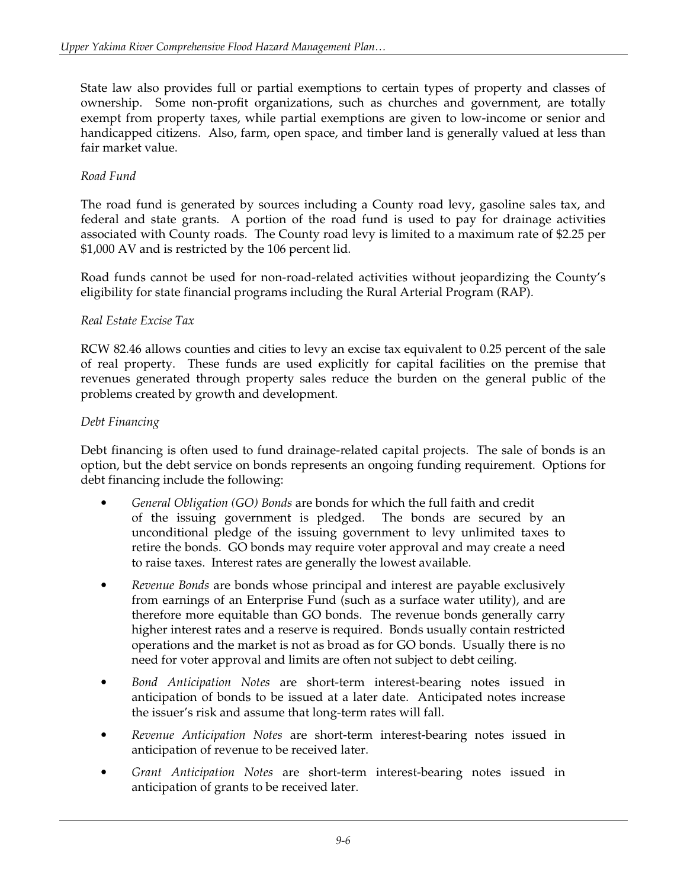State law also provides full or partial exemptions to certain types of property and classes of ownership. Some non-profit organizations, such as churches and government, are totally exempt from property taxes, while partial exemptions are given to low-income or senior and handicapped citizens. Also, farm, open space, and timber land is generally valued at less than fair market value.

## *Road Fund*

The road fund is generated by sources including a County road levy, gasoline sales tax, and federal and state grants. A portion of the road fund is used to pay for drainage activities associated with County roads. The County road levy is limited to a maximum rate of \$2.25 per \$1,000 AV and is restricted by the 106 percent lid.

Road funds cannot be used for non-road-related activities without jeopardizing the County's eligibility for state financial programs including the Rural Arterial Program (RAP).

## *Real Estate Excise Tax*

RCW 82.46 allows counties and cities to levy an excise tax equivalent to 0.25 percent of the sale of real property. These funds are used explicitly for capital facilities on the premise that revenues generated through property sales reduce the burden on the general public of the problems created by growth and development.

## *Debt Financing*

Debt financing is often used to fund drainage-related capital projects. The sale of bonds is an option, but the debt service on bonds represents an ongoing funding requirement. Options for debt financing include the following:

- *General Obligation (GO) Bonds* are bonds for which the full faith and credit of the issuing government is pledged. The bonds are secured by an unconditional pledge of the issuing government to levy unlimited taxes to retire the bonds. GO bonds may require voter approval and may create a need to raise taxes. Interest rates are generally the lowest available.
- *Revenue Bonds* are bonds whose principal and interest are payable exclusively from earnings of an Enterprise Fund (such as a surface water utility), and are therefore more equitable than GO bonds. The revenue bonds generally carry higher interest rates and a reserve is required. Bonds usually contain restricted operations and the market is not as broad as for GO bonds. Usually there is no need for voter approval and limits are often not subject to debt ceiling.
- *Bond Anticipation Notes* are short-term interest-bearing notes issued in anticipation of bonds to be issued at a later date. Anticipated notes increase the issuer's risk and assume that long-term rates will fall.
- *Revenue Anticipation Notes* are short-term interest-bearing notes issued in anticipation of revenue to be received later.
- *Grant Anticipation Notes* are short-term interest-bearing notes issued in anticipation of grants to be received later.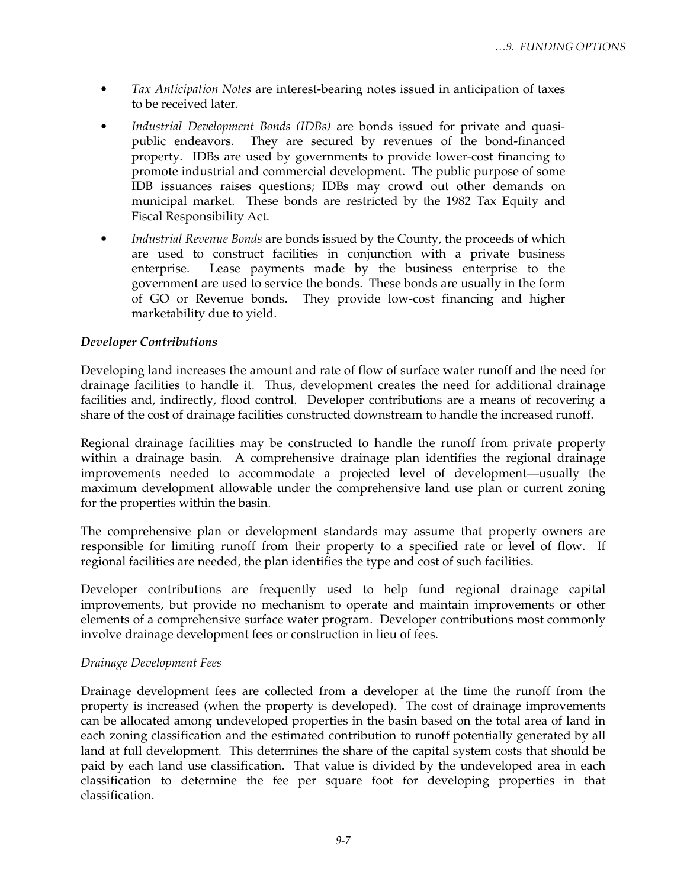- *Tax Anticipation Notes* are interest-bearing notes issued in anticipation of taxes to be received later.
- *Industrial Development Bonds (IDBs)* are bonds issued for private and quasipublic endeavors. They are secured by revenues of the bond-financed property. IDBs are used by governments to provide lower-cost financing to promote industrial and commercial development. The public purpose of some IDB issuances raises questions; IDBs may crowd out other demands on municipal market. These bonds are restricted by the 1982 Tax Equity and Fiscal Responsibility Act.
- *Industrial Revenue Bonds* are bonds issued by the County, the proceeds of which are used to construct facilities in conjunction with a private business enterprise. Lease payments made by the business enterprise to the government are used to service the bonds. These bonds are usually in the form of GO or Revenue bonds. They provide low-cost financing and higher marketability due to yield.

## *Developer Contributions*

Developing land increases the amount and rate of flow of surface water runoff and the need for drainage facilities to handle it. Thus, development creates the need for additional drainage facilities and, indirectly, flood control. Developer contributions are a means of recovering a share of the cost of drainage facilities constructed downstream to handle the increased runoff.

Regional drainage facilities may be constructed to handle the runoff from private property within a drainage basin. A comprehensive drainage plan identifies the regional drainage improvements needed to accommodate a projected level of development—usually the maximum development allowable under the comprehensive land use plan or current zoning for the properties within the basin.

The comprehensive plan or development standards may assume that property owners are responsible for limiting runoff from their property to a specified rate or level of flow. If regional facilities are needed, the plan identifies the type and cost of such facilities.

Developer contributions are frequently used to help fund regional drainage capital improvements, but provide no mechanism to operate and maintain improvements or other elements of a comprehensive surface water program. Developer contributions most commonly involve drainage development fees or construction in lieu of fees.

## *Drainage Development Fees*

Drainage development fees are collected from a developer at the time the runoff from the property is increased (when the property is developed). The cost of drainage improvements can be allocated among undeveloped properties in the basin based on the total area of land in each zoning classification and the estimated contribution to runoff potentially generated by all land at full development. This determines the share of the capital system costs that should be paid by each land use classification. That value is divided by the undeveloped area in each classification to determine the fee per square foot for developing properties in that classification.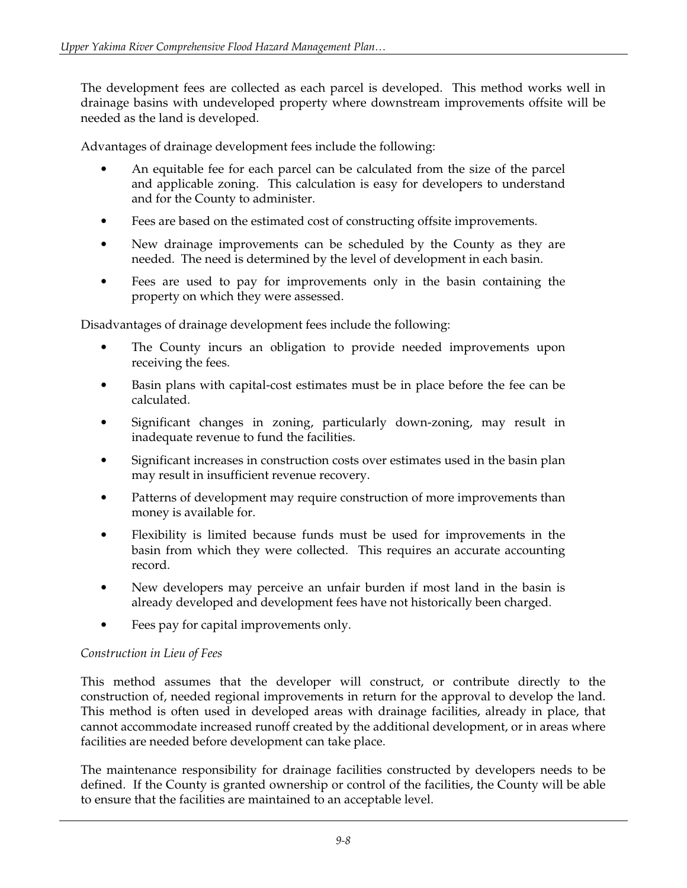The development fees are collected as each parcel is developed. This method works well in drainage basins with undeveloped property where downstream improvements offsite will be needed as the land is developed.

Advantages of drainage development fees include the following:

- An equitable fee for each parcel can be calculated from the size of the parcel and applicable zoning. This calculation is easy for developers to understand and for the County to administer.
- Fees are based on the estimated cost of constructing offsite improvements.
- New drainage improvements can be scheduled by the County as they are needed. The need is determined by the level of development in each basin.
- Fees are used to pay for improvements only in the basin containing the property on which they were assessed.

Disadvantages of drainage development fees include the following:

- The County incurs an obligation to provide needed improvements upon receiving the fees.
- Basin plans with capital-cost estimates must be in place before the fee can be calculated.
- Significant changes in zoning, particularly down-zoning, may result in inadequate revenue to fund the facilities.
- Significant increases in construction costs over estimates used in the basin plan may result in insufficient revenue recovery.
- Patterns of development may require construction of more improvements than money is available for.
- Flexibility is limited because funds must be used for improvements in the basin from which they were collected. This requires an accurate accounting record.
- New developers may perceive an unfair burden if most land in the basin is already developed and development fees have not historically been charged.
- Fees pay for capital improvements only.

## *Construction in Lieu of Fees*

This method assumes that the developer will construct, or contribute directly to the construction of, needed regional improvements in return for the approval to develop the land. This method is often used in developed areas with drainage facilities, already in place, that cannot accommodate increased runoff created by the additional development, or in areas where facilities are needed before development can take place.

The maintenance responsibility for drainage facilities constructed by developers needs to be defined. If the County is granted ownership or control of the facilities, the County will be able to ensure that the facilities are maintained to an acceptable level.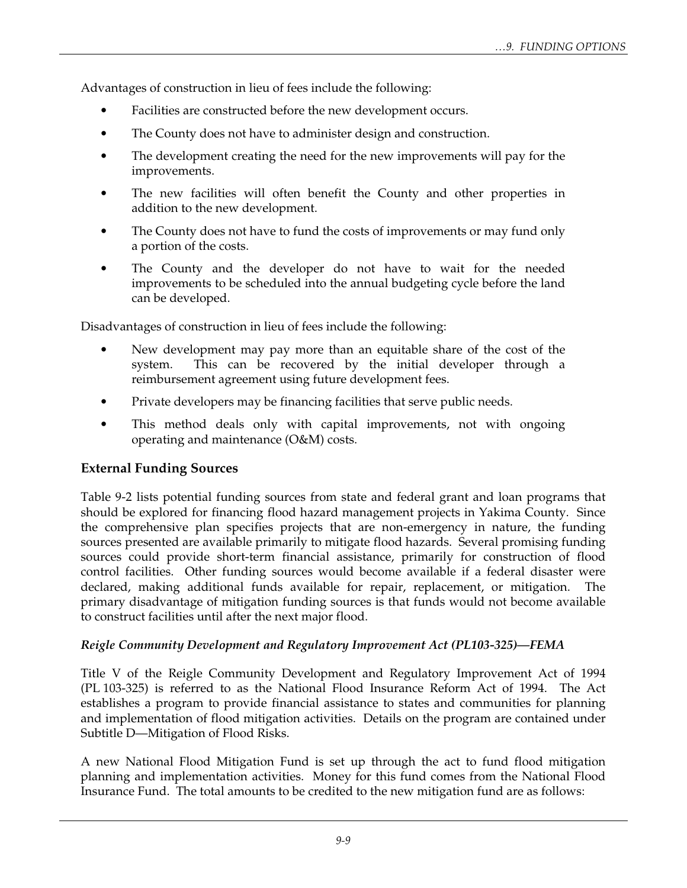Advantages of construction in lieu of fees include the following:

- Facilities are constructed before the new development occurs.
- The County does not have to administer design and construction.
- The development creating the need for the new improvements will pay for the improvements.
- The new facilities will often benefit the County and other properties in addition to the new development.
- The County does not have to fund the costs of improvements or may fund only a portion of the costs.
- The County and the developer do not have to wait for the needed improvements to be scheduled into the annual budgeting cycle before the land can be developed.

Disadvantages of construction in lieu of fees include the following:

- New development may pay more than an equitable share of the cost of the system. This can be recovered by the initial developer through a reimbursement agreement using future development fees.
- Private developers may be financing facilities that serve public needs.
- This method deals only with capital improvements, not with ongoing operating and maintenance (O&M) costs.

## **External Funding Sources**

Table 9-2 lists potential funding sources from state and federal grant and loan programs that should be explored for financing flood hazard management projects in Yakima County. Since the comprehensive plan specifies projects that are non-emergency in nature, the funding sources presented are available primarily to mitigate flood hazards. Several promising funding sources could provide short-term financial assistance, primarily for construction of flood control facilities. Other funding sources would become available if a federal disaster were declared, making additional funds available for repair, replacement, or mitigation. The primary disadvantage of mitigation funding sources is that funds would not become available to construct facilities until after the next major flood.

## *Reigle Community Development and Regulatory Improvement Act (PL103-325)—FEMA*

Title V of the Reigle Community Development and Regulatory Improvement Act of 1994 (PL 103-325) is referred to as the National Flood Insurance Reform Act of 1994. The Act establishes a program to provide financial assistance to states and communities for planning and implementation of flood mitigation activities. Details on the program are contained under Subtitle D—Mitigation of Flood Risks.

A new National Flood Mitigation Fund is set up through the act to fund flood mitigation planning and implementation activities. Money for this fund comes from the National Flood Insurance Fund. The total amounts to be credited to the new mitigation fund are as follows: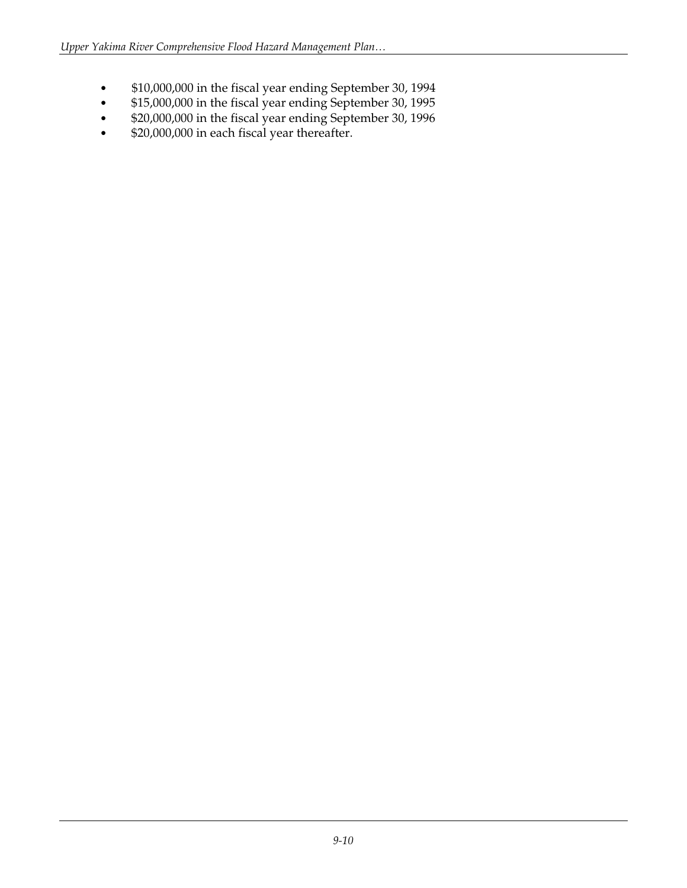- \$10,000,000 in the fiscal year ending September 30, 1994
- \$15,000,000 in the fiscal year ending September 30, 1995<br>• \$20,000,000 in the fiscal year ending September 30, 1996
- \$20,000,000 in the fiscal year ending September 30, 1996
- \$20,000,000 in each fiscal year thereafter.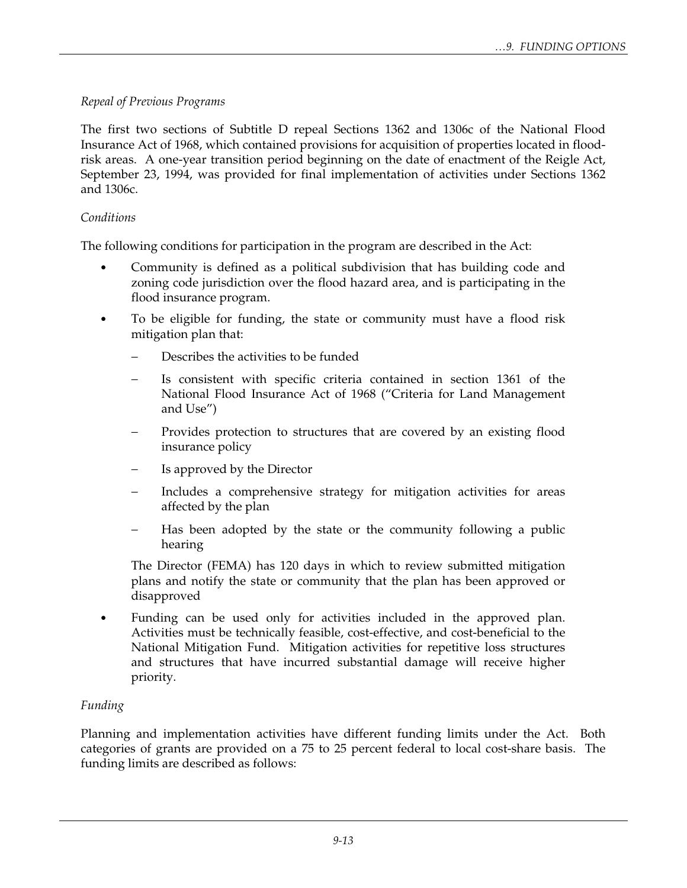## *Repeal of Previous Programs*

The first two sections of Subtitle D repeal Sections 1362 and 1306c of the National Flood Insurance Act of 1968, which contained provisions for acquisition of properties located in floodrisk areas. A one-year transition period beginning on the date of enactment of the Reigle Act, September 23, 1994, was provided for final implementation of activities under Sections 1362 and 1306c.

## *Conditions*

The following conditions for participation in the program are described in the Act:

- Community is defined as a political subdivision that has building code and zoning code jurisdiction over the flood hazard area, and is participating in the flood insurance program.
- To be eligible for funding, the state or community must have a flood risk mitigation plan that:
	- Describes the activities to be funded
	- Is consistent with specific criteria contained in section 1361 of the National Flood Insurance Act of 1968 ("Criteria for Land Management and Use")
	- Provides protection to structures that are covered by an existing flood insurance policy
	- Is approved by the Director
	- Includes a comprehensive strategy for mitigation activities for areas affected by the plan
	- Has been adopted by the state or the community following a public hearing

 The Director (FEMA) has 120 days in which to review submitted mitigation plans and notify the state or community that the plan has been approved or disapproved

• Funding can be used only for activities included in the approved plan. Activities must be technically feasible, cost-effective, and cost-beneficial to the National Mitigation Fund. Mitigation activities for repetitive loss structures and structures that have incurred substantial damage will receive higher priority.

## *Funding*

Planning and implementation activities have different funding limits under the Act. Both categories of grants are provided on a 75 to 25 percent federal to local cost-share basis. The funding limits are described as follows: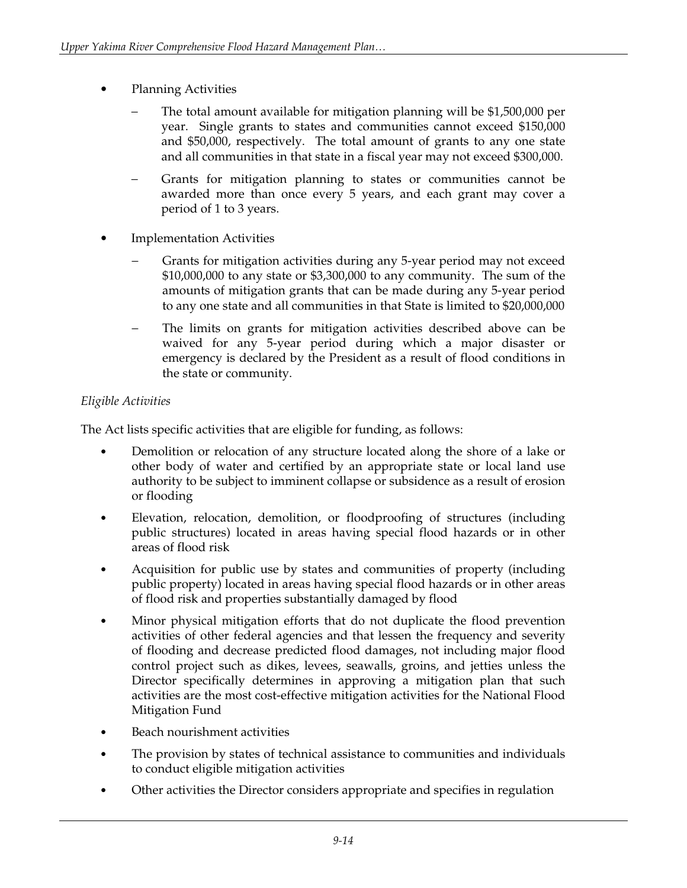- Planning Activities
	- The total amount available for mitigation planning will be \$1,500,000 per year. Single grants to states and communities cannot exceed \$150,000 and \$50,000, respectively. The total amount of grants to any one state and all communities in that state in a fiscal year may not exceed \$300,000.
	- − Grants for mitigation planning to states or communities cannot be awarded more than once every 5 years, and each grant may cover a period of 1 to 3 years.
- **Implementation Activities** 
	- Grants for mitigation activities during any 5-year period may not exceed \$10,000,000 to any state or \$3,300,000 to any community. The sum of the amounts of mitigation grants that can be made during any 5-year period to any one state and all communities in that State is limited to \$20,000,000
	- The limits on grants for mitigation activities described above can be waived for any 5-year period during which a major disaster or emergency is declared by the President as a result of flood conditions in the state or community.

## *Eligible Activities*

The Act lists specific activities that are eligible for funding, as follows:

- Demolition or relocation of any structure located along the shore of a lake or other body of water and certified by an appropriate state or local land use authority to be subject to imminent collapse or subsidence as a result of erosion or flooding
- Elevation, relocation, demolition, or floodproofing of structures (including public structures) located in areas having special flood hazards or in other areas of flood risk
- Acquisition for public use by states and communities of property (including public property) located in areas having special flood hazards or in other areas of flood risk and properties substantially damaged by flood
- Minor physical mitigation efforts that do not duplicate the flood prevention activities of other federal agencies and that lessen the frequency and severity of flooding and decrease predicted flood damages, not including major flood control project such as dikes, levees, seawalls, groins, and jetties unless the Director specifically determines in approving a mitigation plan that such activities are the most cost-effective mitigation activities for the National Flood Mitigation Fund
- Beach nourishment activities
- The provision by states of technical assistance to communities and individuals to conduct eligible mitigation activities
- Other activities the Director considers appropriate and specifies in regulation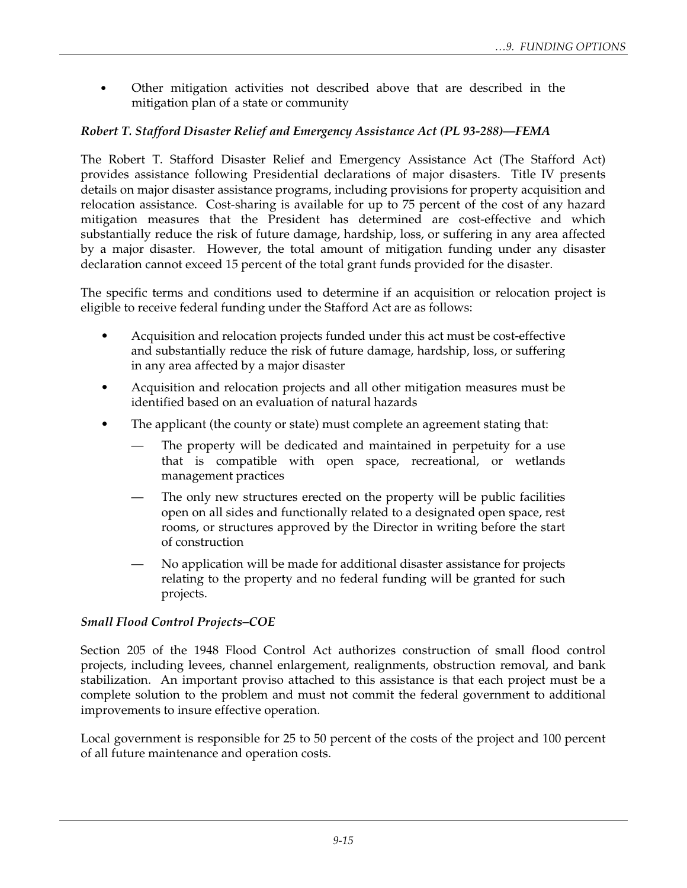• Other mitigation activities not described above that are described in the mitigation plan of a state or community

## *Robert T. Stafford Disaster Relief and Emergency Assistance Act (PL 93-288)—FEMA*

The Robert T. Stafford Disaster Relief and Emergency Assistance Act (The Stafford Act) provides assistance following Presidential declarations of major disasters. Title IV presents details on major disaster assistance programs, including provisions for property acquisition and relocation assistance. Cost-sharing is available for up to 75 percent of the cost of any hazard mitigation measures that the President has determined are cost-effective and which substantially reduce the risk of future damage, hardship, loss, or suffering in any area affected by a major disaster. However, the total amount of mitigation funding under any disaster declaration cannot exceed 15 percent of the total grant funds provided for the disaster.

The specific terms and conditions used to determine if an acquisition or relocation project is eligible to receive federal funding under the Stafford Act are as follows:

- Acquisition and relocation projects funded under this act must be cost-effective and substantially reduce the risk of future damage, hardship, loss, or suffering in any area affected by a major disaster
- Acquisition and relocation projects and all other mitigation measures must be identified based on an evaluation of natural hazards
- The applicant (the county or state) must complete an agreement stating that:
	- The property will be dedicated and maintained in perpetuity for a use that is compatible with open space, recreational, or wetlands management practices
	- The only new structures erected on the property will be public facilities open on all sides and functionally related to a designated open space, rest rooms, or structures approved by the Director in writing before the start of construction
	- No application will be made for additional disaster assistance for projects relating to the property and no federal funding will be granted for such projects.

## *Small Flood Control Projects–COE*

Section 205 of the 1948 Flood Control Act authorizes construction of small flood control projects, including levees, channel enlargement, realignments, obstruction removal, and bank stabilization. An important proviso attached to this assistance is that each project must be a complete solution to the problem and must not commit the federal government to additional improvements to insure effective operation.

Local government is responsible for 25 to 50 percent of the costs of the project and 100 percent of all future maintenance and operation costs.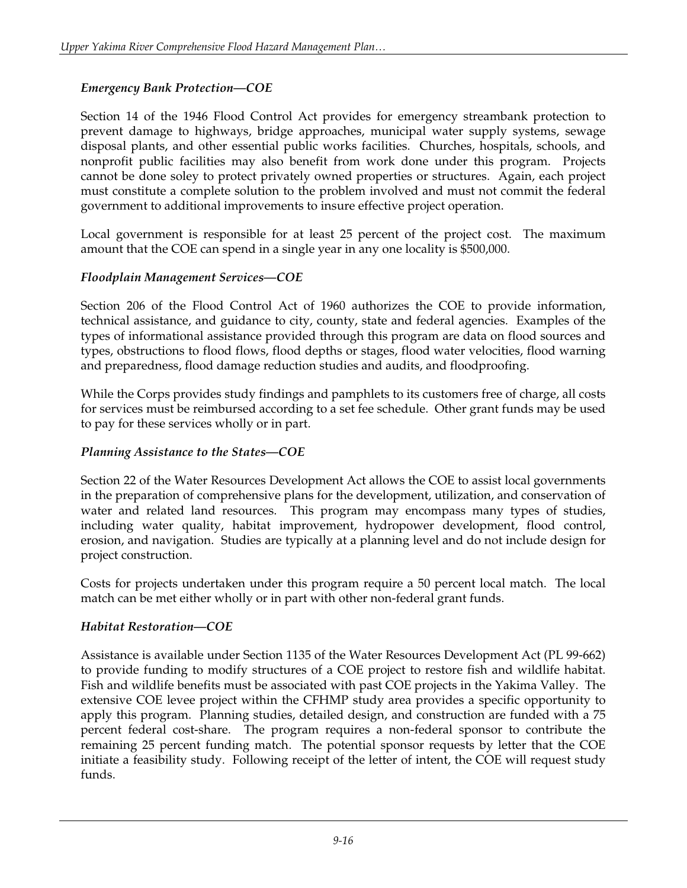## *Emergency Bank Protection—COE*

Section 14 of the 1946 Flood Control Act provides for emergency streambank protection to prevent damage to highways, bridge approaches, municipal water supply systems, sewage disposal plants, and other essential public works facilities. Churches, hospitals, schools, and nonprofit public facilities may also benefit from work done under this program. Projects cannot be done soley to protect privately owned properties or structures. Again, each project must constitute a complete solution to the problem involved and must not commit the federal government to additional improvements to insure effective project operation.

Local government is responsible for at least 25 percent of the project cost. The maximum amount that the COE can spend in a single year in any one locality is \$500,000.

## *Floodplain Management Services—COE*

Section 206 of the Flood Control Act of 1960 authorizes the COE to provide information, technical assistance, and guidance to city, county, state and federal agencies. Examples of the types of informational assistance provided through this program are data on flood sources and types, obstructions to flood flows, flood depths or stages, flood water velocities, flood warning and preparedness, flood damage reduction studies and audits, and floodproofing.

While the Corps provides study findings and pamphlets to its customers free of charge, all costs for services must be reimbursed according to a set fee schedule. Other grant funds may be used to pay for these services wholly or in part.

## *Planning Assistance to the States—COE*

Section 22 of the Water Resources Development Act allows the COE to assist local governments in the preparation of comprehensive plans for the development, utilization, and conservation of water and related land resources. This program may encompass many types of studies, including water quality, habitat improvement, hydropower development, flood control, erosion, and navigation. Studies are typically at a planning level and do not include design for project construction.

Costs for projects undertaken under this program require a 50 percent local match. The local match can be met either wholly or in part with other non-federal grant funds.

## *Habitat Restoration—COE*

Assistance is available under Section 1135 of the Water Resources Development Act (PL 99-662) to provide funding to modify structures of a COE project to restore fish and wildlife habitat. Fish and wildlife benefits must be associated with past COE projects in the Yakima Valley. The extensive COE levee project within the CFHMP study area provides a specific opportunity to apply this program. Planning studies, detailed design, and construction are funded with a 75 percent federal cost-share. The program requires a non-federal sponsor to contribute the remaining 25 percent funding match. The potential sponsor requests by letter that the COE initiate a feasibility study. Following receipt of the letter of intent, the COE will request study funds.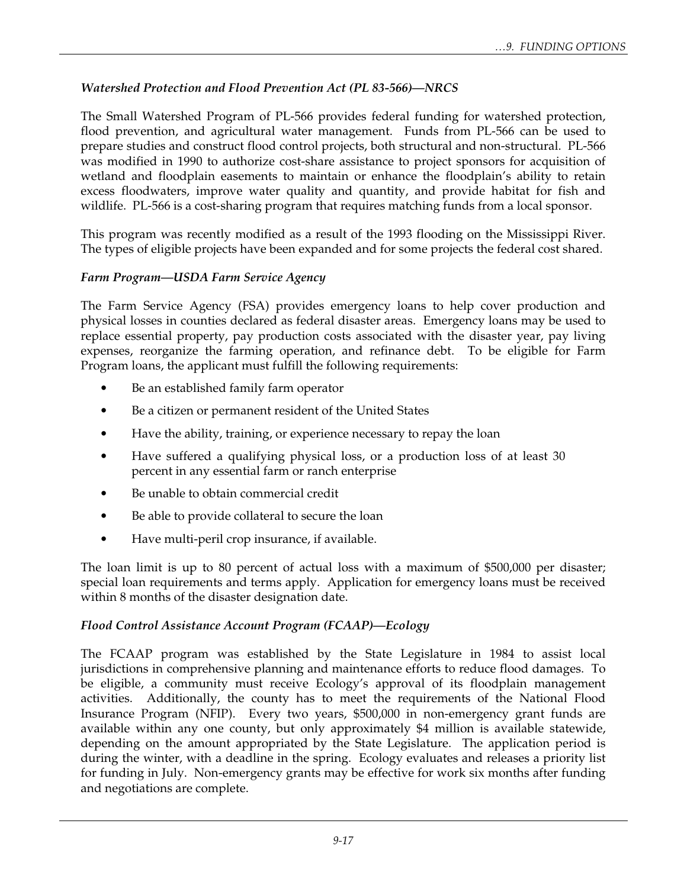## *Watershed Protection and Flood Prevention Act (PL 83-566)—NRCS*

The Small Watershed Program of PL-566 provides federal funding for watershed protection, flood prevention, and agricultural water management. Funds from PL-566 can be used to prepare studies and construct flood control projects, both structural and non-structural. PL-566 was modified in 1990 to authorize cost-share assistance to project sponsors for acquisition of wetland and floodplain easements to maintain or enhance the floodplain's ability to retain excess floodwaters, improve water quality and quantity, and provide habitat for fish and wildlife. PL-566 is a cost-sharing program that requires matching funds from a local sponsor.

This program was recently modified as a result of the 1993 flooding on the Mississippi River. The types of eligible projects have been expanded and for some projects the federal cost shared.

## *Farm Program—USDA Farm Service Agency*

The Farm Service Agency (FSA) provides emergency loans to help cover production and physical losses in counties declared as federal disaster areas. Emergency loans may be used to replace essential property, pay production costs associated with the disaster year, pay living expenses, reorganize the farming operation, and refinance debt. To be eligible for Farm Program loans, the applicant must fulfill the following requirements:

- Be an established family farm operator
- Be a citizen or permanent resident of the United States
- Have the ability, training, or experience necessary to repay the loan
- Have suffered a qualifying physical loss, or a production loss of at least 30 percent in any essential farm or ranch enterprise
- Be unable to obtain commercial credit
- Be able to provide collateral to secure the loan
- Have multi-peril crop insurance, if available.

The loan limit is up to 80 percent of actual loss with a maximum of \$500,000 per disaster; special loan requirements and terms apply. Application for emergency loans must be received within 8 months of the disaster designation date.

## *Flood Control Assistance Account Program (FCAAP)—Ecology*

The FCAAP program was established by the State Legislature in 1984 to assist local jurisdictions in comprehensive planning and maintenance efforts to reduce flood damages. To be eligible, a community must receive Ecology's approval of its floodplain management activities. Additionally, the county has to meet the requirements of the National Flood Insurance Program (NFIP). Every two years, \$500,000 in non-emergency grant funds are available within any one county, but only approximately \$4 million is available statewide, depending on the amount appropriated by the State Legislature. The application period is during the winter, with a deadline in the spring. Ecology evaluates and releases a priority list for funding in July. Non-emergency grants may be effective for work six months after funding and negotiations are complete.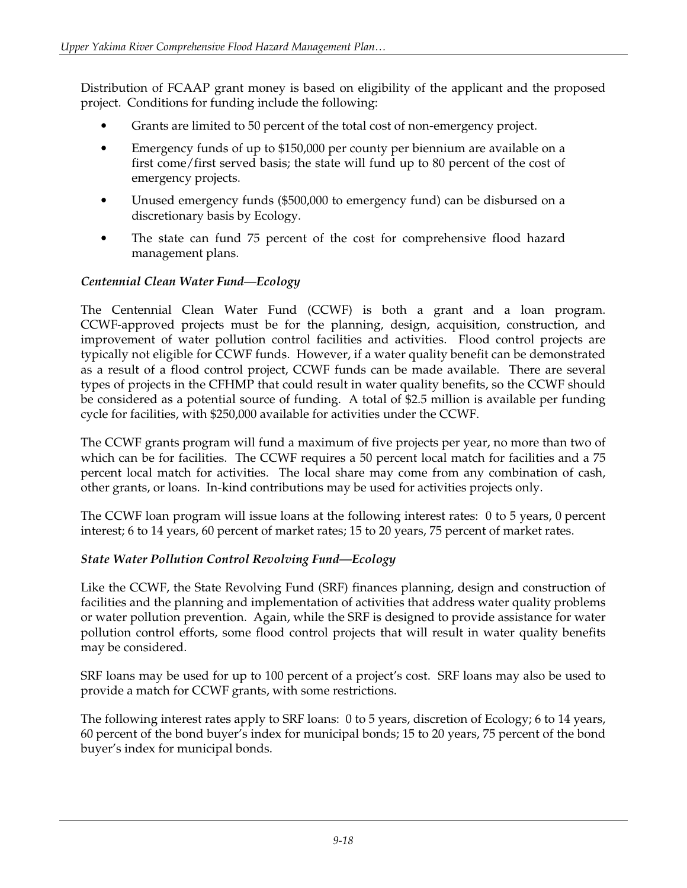Distribution of FCAAP grant money is based on eligibility of the applicant and the proposed project. Conditions for funding include the following:

- Grants are limited to 50 percent of the total cost of non-emergency project.
- Emergency funds of up to \$150,000 per county per biennium are available on a first come/first served basis; the state will fund up to 80 percent of the cost of emergency projects.
- Unused emergency funds (\$500,000 to emergency fund) can be disbursed on a discretionary basis by Ecology.
- The state can fund 75 percent of the cost for comprehensive flood hazard management plans.

## *Centennial Clean Water Fund—Ecology*

The Centennial Clean Water Fund (CCWF) is both a grant and a loan program. CCWF-approved projects must be for the planning, design, acquisition, construction, and improvement of water pollution control facilities and activities. Flood control projects are typically not eligible for CCWF funds. However, if a water quality benefit can be demonstrated as a result of a flood control project, CCWF funds can be made available. There are several types of projects in the CFHMP that could result in water quality benefits, so the CCWF should be considered as a potential source of funding. A total of \$2.5 million is available per funding cycle for facilities, with \$250,000 available for activities under the CCWF.

The CCWF grants program will fund a maximum of five projects per year, no more than two of which can be for facilities. The CCWF requires a 50 percent local match for facilities and a 75 percent local match for activities. The local share may come from any combination of cash, other grants, or loans. In-kind contributions may be used for activities projects only.

The CCWF loan program will issue loans at the following interest rates: 0 to 5 years, 0 percent interest; 6 to 14 years, 60 percent of market rates; 15 to 20 years, 75 percent of market rates.

## *State Water Pollution Control Revolving Fund—Ecology*

Like the CCWF, the State Revolving Fund (SRF) finances planning, design and construction of facilities and the planning and implementation of activities that address water quality problems or water pollution prevention. Again, while the SRF is designed to provide assistance for water pollution control efforts, some flood control projects that will result in water quality benefits may be considered.

SRF loans may be used for up to 100 percent of a project's cost. SRF loans may also be used to provide a match for CCWF grants, with some restrictions.

The following interest rates apply to SRF loans: 0 to 5 years, discretion of Ecology; 6 to 14 years, 60 percent of the bond buyer's index for municipal bonds; 15 to 20 years, 75 percent of the bond buyer's index for municipal bonds.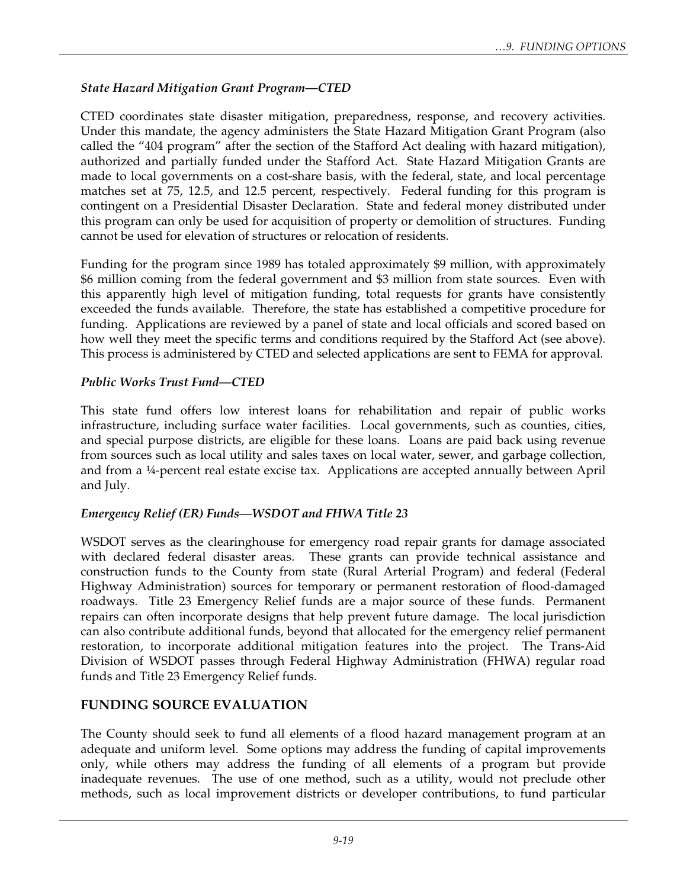## *State Hazard Mitigation Grant Program—CTED*

CTED coordinates state disaster mitigation, preparedness, response, and recovery activities. Under this mandate, the agency administers the State Hazard Mitigation Grant Program (also called the "404 program" after the section of the Stafford Act dealing with hazard mitigation), authorized and partially funded under the Stafford Act. State Hazard Mitigation Grants are made to local governments on a cost-share basis, with the federal, state, and local percentage matches set at 75, 12.5, and 12.5 percent, respectively. Federal funding for this program is contingent on a Presidential Disaster Declaration. State and federal money distributed under this program can only be used for acquisition of property or demolition of structures. Funding cannot be used for elevation of structures or relocation of residents.

Funding for the program since 1989 has totaled approximately \$9 million, with approximately \$6 million coming from the federal government and \$3 million from state sources. Even with this apparently high level of mitigation funding, total requests for grants have consistently exceeded the funds available. Therefore, the state has established a competitive procedure for funding. Applications are reviewed by a panel of state and local officials and scored based on how well they meet the specific terms and conditions required by the Stafford Act (see above). This process is administered by CTED and selected applications are sent to FEMA for approval.

## *Public Works Trust Fund—CTED*

This state fund offers low interest loans for rehabilitation and repair of public works infrastructure, including surface water facilities. Local governments, such as counties, cities, and special purpose districts, are eligible for these loans. Loans are paid back using revenue from sources such as local utility and sales taxes on local water, sewer, and garbage collection, and from a ¼-percent real estate excise tax. Applications are accepted annually between April and July.

## *Emergency Relief (ER) Funds—WSDOT and FHWA Title 23*

WSDOT serves as the clearinghouse for emergency road repair grants for damage associated with declared federal disaster areas. These grants can provide technical assistance and construction funds to the County from state (Rural Arterial Program) and federal (Federal Highway Administration) sources for temporary or permanent restoration of flood-damaged roadways. Title 23 Emergency Relief funds are a major source of these funds. Permanent repairs can often incorporate designs that help prevent future damage. The local jurisdiction can also contribute additional funds, beyond that allocated for the emergency relief permanent restoration, to incorporate additional mitigation features into the project. The Trans-Aid Division of WSDOT passes through Federal Highway Administration (FHWA) regular road funds and Title 23 Emergency Relief funds.

## **FUNDING SOURCE EVALUATION**

The County should seek to fund all elements of a flood hazard management program at an adequate and uniform level. Some options may address the funding of capital improvements only, while others may address the funding of all elements of a program but provide inadequate revenues. The use of one method, such as a utility, would not preclude other methods, such as local improvement districts or developer contributions, to fund particular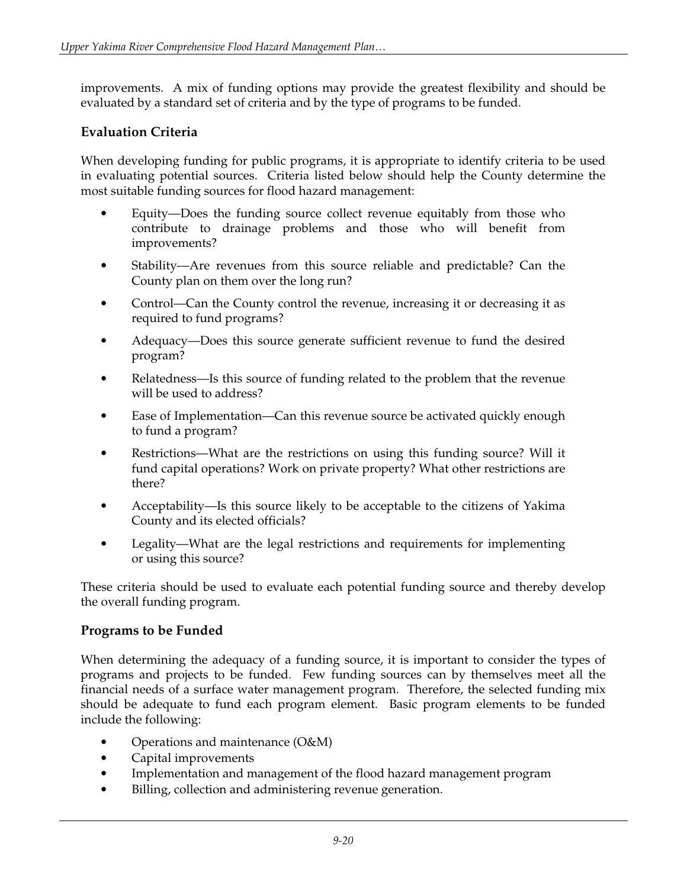improvements. A mix of funding options may provide the greatest flexibility and should be evaluated by a standard set of criteria and by the type of programs to be funded.

## **Evaluation Criteria**

When developing funding for public programs, it is appropriate to identify criteria to be used in evaluating potential sources. Criteria listed below should help the County determine the most suitable funding sources for flood hazard management:

- Equity—Does the funding source collect revenue equitably from those who contribute to drainage problems and those who will benefit from improvements?
- Stability—Are revenues from this source reliable and predictable? Can the County plan on them over the long run?
- Control—Can the County control the revenue, increasing it or decreasing it as required to fund programs?
- Adequacy—Does this source generate sufficient revenue to fund the desired program?
- Relatedness—Is this source of funding related to the problem that the revenue will be used to address?
- Ease of Implementation—Can this revenue source be activated quickly enough to fund a program?
- Restrictions—What are the restrictions on using this funding source? Will it fund capital operations? Work on private property? What other restrictions are there?
- Acceptability—Is this source likely to be acceptable to the citizens of Yakima County and its elected officials?
- Legality—What are the legal restrictions and requirements for implementing or using this source?

These criteria should be used to evaluate each potential funding source and thereby develop the overall funding program.

## **Programs to be Funded**

When determining the adequacy of a funding source, it is important to consider the types of programs and projects to be funded. Few funding sources can by themselves meet all the financial needs of a surface water management program. Therefore, the selected funding mix should be adequate to fund each program element. Basic program elements to be funded include the following:

- Operations and maintenance (O&M)
- Capital improvements
- Implementation and management of the flood hazard management program
- Billing, collection and administering revenue generation.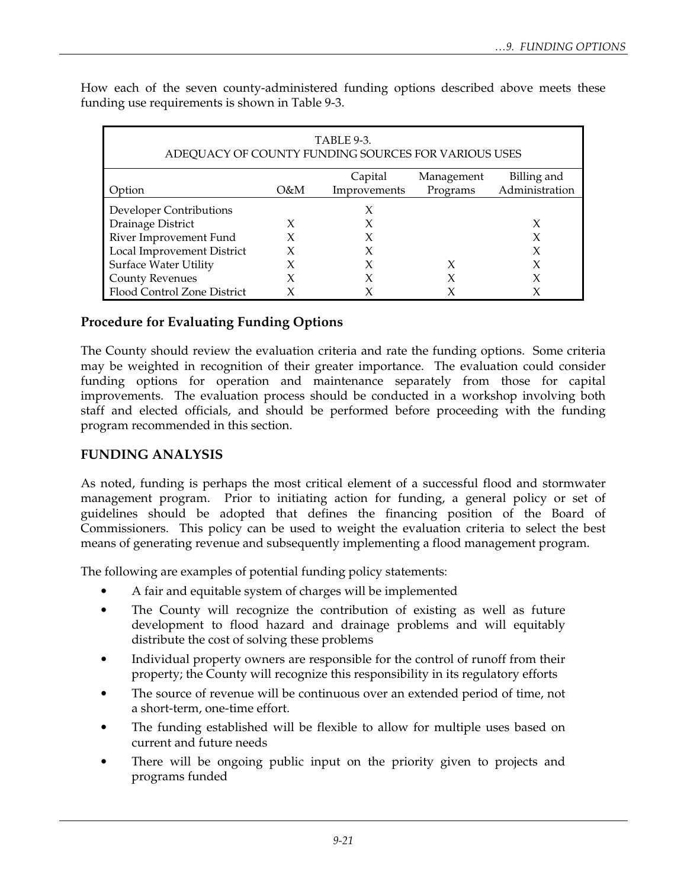| TABLE 9-3.<br>ADEQUACY OF COUNTY FUNDING SOURCES FOR VARIOUS USES |     |              |            |                         |  |  |  |  |  |
|-------------------------------------------------------------------|-----|--------------|------------|-------------------------|--|--|--|--|--|
|                                                                   |     | Capital      | Management | Billing and             |  |  |  |  |  |
| Option                                                            | O&M | Improvements |            | Programs Administration |  |  |  |  |  |
| Developer Contributions                                           |     | X            |            |                         |  |  |  |  |  |
| Drainage District                                                 |     |              |            | X                       |  |  |  |  |  |
| River Improvement Fund                                            |     |              |            | X                       |  |  |  |  |  |
| Local Improvement District                                        |     |              |            | X                       |  |  |  |  |  |
| <b>Surface Water Utility</b>                                      |     |              | X          | χ                       |  |  |  |  |  |
| <b>County Revenues</b>                                            | X   |              |            |                         |  |  |  |  |  |
| Flood Control Zone District                                       |     |              |            |                         |  |  |  |  |  |

How each of the seven county-administered funding options described above meets these funding use requirements is shown in Table 9-3.

## **Procedure for Evaluating Funding Options**

The County should review the evaluation criteria and rate the funding options. Some criteria may be weighted in recognition of their greater importance. The evaluation could consider funding options for operation and maintenance separately from those for capital improvements. The evaluation process should be conducted in a workshop involving both staff and elected officials, and should be performed before proceeding with the funding program recommended in this section.

## **FUNDING ANALYSIS**

As noted, funding is perhaps the most critical element of a successful flood and stormwater management program. Prior to initiating action for funding, a general policy or set of guidelines should be adopted that defines the financing position of the Board of Commissioners. This policy can be used to weight the evaluation criteria to select the best means of generating revenue and subsequently implementing a flood management program.

The following are examples of potential funding policy statements:

- A fair and equitable system of charges will be implemented
- The County will recognize the contribution of existing as well as future development to flood hazard and drainage problems and will equitably distribute the cost of solving these problems
- Individual property owners are responsible for the control of runoff from their property; the County will recognize this responsibility in its regulatory efforts
- The source of revenue will be continuous over an extended period of time, not a short-term, one-time effort.
- The funding established will be flexible to allow for multiple uses based on current and future needs
- There will be ongoing public input on the priority given to projects and programs funded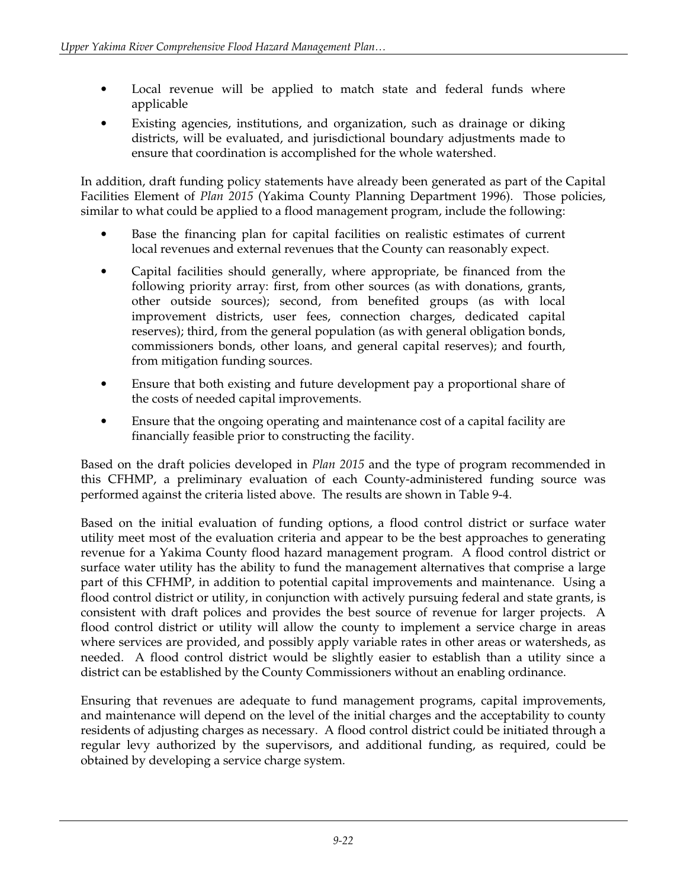- Local revenue will be applied to match state and federal funds where applicable
- Existing agencies, institutions, and organization, such as drainage or diking districts, will be evaluated, and jurisdictional boundary adjustments made to ensure that coordination is accomplished for the whole watershed.

In addition, draft funding policy statements have already been generated as part of the Capital Facilities Element of *Plan 2015* (Yakima County Planning Department 1996). Those policies, similar to what could be applied to a flood management program, include the following:

- Base the financing plan for capital facilities on realistic estimates of current local revenues and external revenues that the County can reasonably expect.
- Capital facilities should generally, where appropriate, be financed from the following priority array: first, from other sources (as with donations, grants, other outside sources); second, from benefited groups (as with local improvement districts, user fees, connection charges, dedicated capital reserves); third, from the general population (as with general obligation bonds, commissioners bonds, other loans, and general capital reserves); and fourth, from mitigation funding sources.
- Ensure that both existing and future development pay a proportional share of the costs of needed capital improvements.
- Ensure that the ongoing operating and maintenance cost of a capital facility are financially feasible prior to constructing the facility.

Based on the draft policies developed in *Plan 2015* and the type of program recommended in this CFHMP, a preliminary evaluation of each County-administered funding source was performed against the criteria listed above. The results are shown in Table 9-4.

Based on the initial evaluation of funding options, a flood control district or surface water utility meet most of the evaluation criteria and appear to be the best approaches to generating revenue for a Yakima County flood hazard management program. A flood control district or surface water utility has the ability to fund the management alternatives that comprise a large part of this CFHMP, in addition to potential capital improvements and maintenance. Using a flood control district or utility, in conjunction with actively pursuing federal and state grants, is consistent with draft polices and provides the best source of revenue for larger projects. A flood control district or utility will allow the county to implement a service charge in areas where services are provided, and possibly apply variable rates in other areas or watersheds, as needed. A flood control district would be slightly easier to establish than a utility since a district can be established by the County Commissioners without an enabling ordinance.

Ensuring that revenues are adequate to fund management programs, capital improvements, and maintenance will depend on the level of the initial charges and the acceptability to county residents of adjusting charges as necessary. A flood control district could be initiated through a regular levy authorized by the supervisors, and additional funding, as required, could be obtained by developing a service charge system.